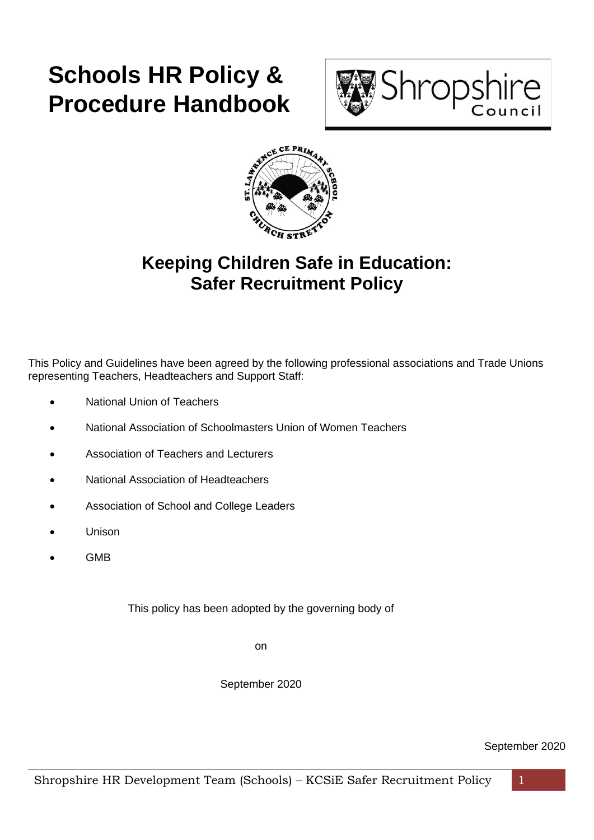# **Schools HR Policy & Procedure Handbook**





# **Keeping Children Safe in Education: Safer Recruitment Policy**

This Policy and Guidelines have been agreed by the following professional associations and Trade Unions representing Teachers, Headteachers and Support Staff:

- National Union of Teachers
- National Association of Schoolmasters Union of Women Teachers
- Association of Teachers and Lecturers
- National Association of Headteachers
- Association of School and College Leaders
- Unison
- GMB

This policy has been adopted by the governing body of

on

September 2020

September 2020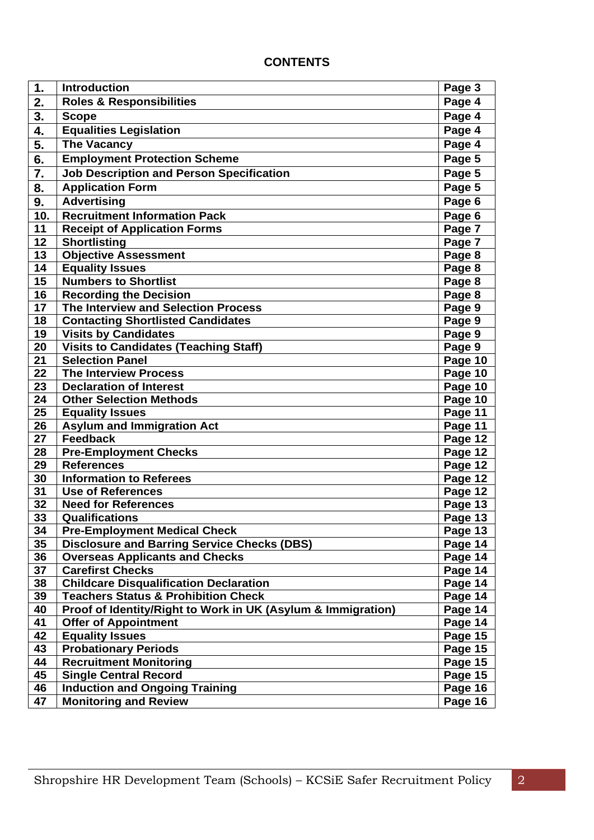# **CONTENTS**

| 1.              | <b>Introduction</b>                                                                       | Page 3             |
|-----------------|-------------------------------------------------------------------------------------------|--------------------|
| 2.              | <b>Roles &amp; Responsibilities</b>                                                       | Page 4             |
| 3.              | <b>Scope</b>                                                                              | Page 4             |
| 4.              | <b>Equalities Legislation</b>                                                             | Page 4             |
| 5.              | <b>The Vacancy</b>                                                                        | Page 4             |
| 6.              | <b>Employment Protection Scheme</b>                                                       | Page 5             |
| 7.              | <b>Job Description and Person Specification</b>                                           | Page 5             |
| 8.              | <b>Application Form</b>                                                                   | Page 5             |
| 9.              | <b>Advertising</b>                                                                        | Page 6             |
| 10.             | <b>Recruitment Information Pack</b>                                                       | Page 6             |
| 11              | <b>Receipt of Application Forms</b>                                                       | Page 7             |
| 12              | <b>Shortlisting</b>                                                                       | Page 7             |
| 13              | <b>Objective Assessment</b>                                                               | Page 8             |
| 14              | <b>Equality Issues</b>                                                                    | Page 8             |
| 15              | <b>Numbers to Shortlist</b>                                                               | Page 8             |
| 16              | <b>Recording the Decision</b>                                                             | Page 8             |
| $\overline{17}$ | The Interview and Selection Process                                                       | Page 9             |
| 18              | <b>Contacting Shortlisted Candidates</b>                                                  | Page 9             |
| 19              | <b>Visits by Candidates</b>                                                               | Page 9             |
| 20              | <b>Visits to Candidates (Teaching Staff)</b>                                              | Page 9             |
| 21              | <b>Selection Panel</b>                                                                    | Page 10            |
| 22              | <b>The Interview Process</b>                                                              | Page 10            |
| 23              | <b>Declaration of Interest</b>                                                            | Page 10            |
| 24              | <b>Other Selection Methods</b>                                                            | Page 10            |
| 25              | <b>Equality Issues</b>                                                                    | Page 11            |
| 26              | <b>Asylum and Immigration Act</b>                                                         | Page 11            |
| 27              | <b>Feedback</b>                                                                           | Page 12            |
| 28              | <b>Pre-Employment Checks</b>                                                              | Page 12            |
| 29              | <b>References</b>                                                                         | Page 12            |
| 30              | <b>Information to Referees</b>                                                            | Page 12            |
| 31              | <b>Use of References</b>                                                                  | Page 12            |
| 32<br>33        | <b>Need for References</b><br>Qualifications                                              | Page 13            |
|                 |                                                                                           | Page 13            |
| 34<br>35        | <b>Pre-Employment Medical Check</b><br><b>Disclosure and Barring Service Checks (DBS)</b> | Page 13<br>Page 14 |
| 36              | <b>Overseas Applicants and Checks</b>                                                     | Page 14            |
| 37              | <b>Carefirst Checks</b>                                                                   | Page 14            |
| 38              | <b>Childcare Disqualification Declaration</b>                                             | Page 14            |
| 39              | <b>Teachers Status &amp; Prohibition Check</b>                                            | Page 14            |
| 40              | Proof of Identity/Right to Work in UK (Asylum & Immigration)                              | Page 14            |
| 41              | <b>Offer of Appointment</b>                                                               | Page 14            |
| 42              | <b>Equality Issues</b>                                                                    | Page 15            |
| 43              | <b>Probationary Periods</b>                                                               | Page 15            |
| 44              | <b>Recruitment Monitoring</b>                                                             | Page 15            |
| 45              | <b>Single Central Record</b>                                                              | Page 15            |
| 46              | <b>Induction and Ongoing Training</b>                                                     | Page 16            |
| 47              | <b>Monitoring and Review</b>                                                              | Page 16            |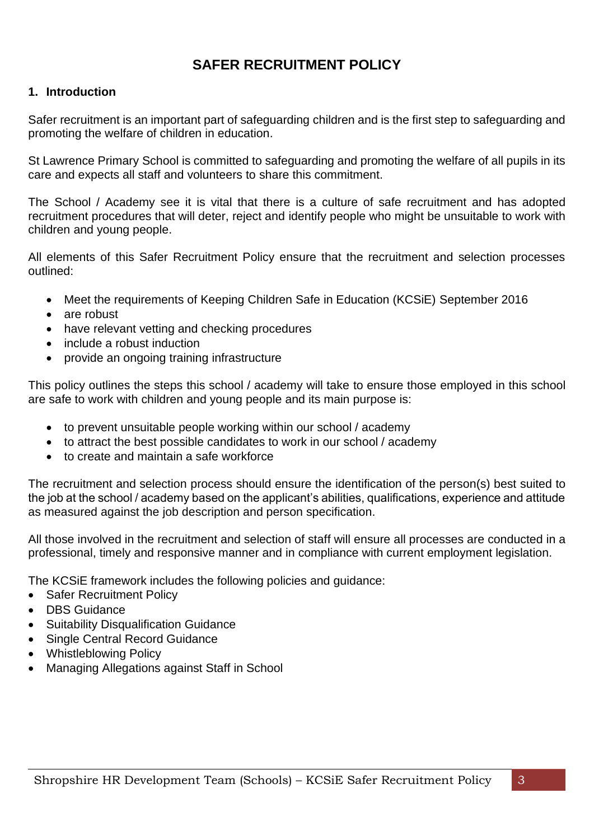# **SAFER RECRUITMENT POLICY**

# **1. Introduction**

Safer recruitment is an important part of safeguarding children and is the first step to safeguarding and promoting the welfare of children in education.

St Lawrence Primary School is committed to safeguarding and promoting the welfare of all pupils in its care and expects all staff and volunteers to share this commitment.

The School / Academy see it is vital that there is a culture of safe recruitment and has adopted recruitment procedures that will deter, reject and identify people who might be unsuitable to work with children and young people.

All elements of this Safer Recruitment Policy ensure that the recruitment and selection processes outlined:

- Meet the requirements of Keeping Children Safe in Education (KCSiE) September 2016
- are robust
- have relevant vetting and checking procedures
- include a robust induction
- provide an ongoing training infrastructure

This policy outlines the steps this school / academy will take to ensure those employed in this school are safe to work with children and young people and its main purpose is:

- to prevent unsuitable people working within our school / academy
- to attract the best possible candidates to work in our school / academy
- to create and maintain a safe workforce

The recruitment and selection process should ensure the identification of the person(s) best suited to the job at the school / academy based on the applicant's abilities, qualifications, experience and attitude as measured against the job description and person specification.

All those involved in the recruitment and selection of staff will ensure all processes are conducted in a professional, timely and responsive manner and in compliance with current employment legislation.

The KCSiE framework includes the following policies and guidance:

- Safer Recruitment Policy
- DBS Guidance
- Suitability Disqualification Guidance
- Single Central Record Guidance
- Whistleblowing Policy
- Managing Allegations against Staff in School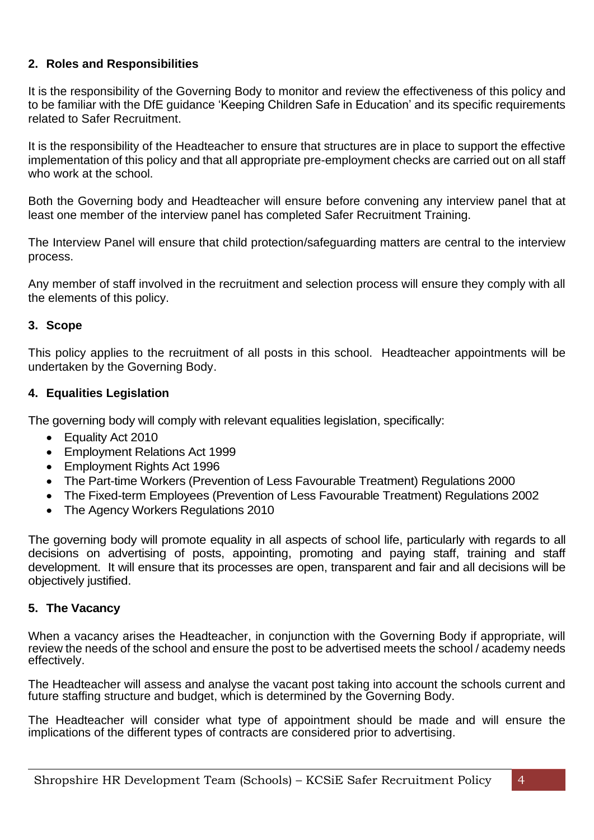# **2. Roles and Responsibilities**

It is the responsibility of the Governing Body to monitor and review the effectiveness of this policy and to be familiar with the DfE guidance 'Keeping Children Safe in Education' and its specific requirements related to Safer Recruitment.

It is the responsibility of the Headteacher to ensure that structures are in place to support the effective implementation of this policy and that all appropriate pre-employment checks are carried out on all staff who work at the school.

Both the Governing body and Headteacher will ensure before convening any interview panel that at least one member of the interview panel has completed Safer Recruitment Training.

The Interview Panel will ensure that child protection/safeguarding matters are central to the interview process.

Any member of staff involved in the recruitment and selection process will ensure they comply with all the elements of this policy.

#### **3. Scope**

This policy applies to the recruitment of all posts in this school. Headteacher appointments will be undertaken by the Governing Body.

#### **4. Equalities Legislation**

The governing body will comply with relevant equalities legislation, specifically:

- Equality Act 2010
- Employment Relations Act 1999
- Employment Rights Act 1996
- The Part-time Workers (Prevention of Less Favourable Treatment) Regulations 2000
- The Fixed-term Employees (Prevention of Less Favourable Treatment) Regulations 2002
- The Agency Workers Regulations 2010

The governing body will promote equality in all aspects of school life, particularly with regards to all decisions on advertising of posts, appointing, promoting and paying staff, training and staff development. It will ensure that its processes are open, transparent and fair and all decisions will be objectively justified.

# **5. The Vacancy**

When a vacancy arises the Headteacher, in conjunction with the Governing Body if appropriate, will review the needs of the school and ensure the post to be advertised meets the school / academy needs effectively.

The Headteacher will assess and analyse the vacant post taking into account the schools current and future staffing structure and budget, which is determined by the Governing Body.

The Headteacher will consider what type of appointment should be made and will ensure the implications of the different types of contracts are considered prior to advertising.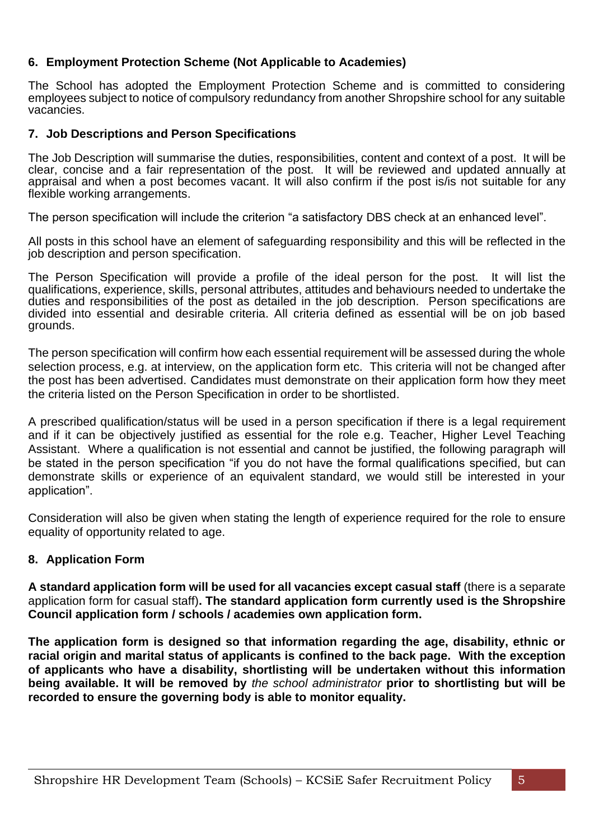### **6. Employment Protection Scheme (Not Applicable to Academies)**

The School has adopted the Employment Protection Scheme and is committed to considering employees subject to notice of compulsory redundancy from another Shropshire school for any suitable vacancies.

#### **7. Job Descriptions and Person Specifications**

The Job Description will summarise the duties, responsibilities, content and context of a post. It will be clear, concise and a fair representation of the post. It will be reviewed and updated annually at appraisal and when a post becomes vacant. It will also confirm if the post is/is not suitable for any flexible working arrangements.

The person specification will include the criterion "a satisfactory DBS check at an enhanced level".

All posts in this school have an element of safeguarding responsibility and this will be reflected in the job description and person specification.

The Person Specification will provide a profile of the ideal person for the post. It will list the qualifications, experience, skills, personal attributes, attitudes and behaviours needed to undertake the duties and responsibilities of the post as detailed in the job description. Person specifications are divided into essential and desirable criteria. All criteria defined as essential will be on job based grounds.

The person specification will confirm how each essential requirement will be assessed during the whole selection process, e.g. at interview, on the application form etc. This criteria will not be changed after the post has been advertised. Candidates must demonstrate on their application form how they meet the criteria listed on the Person Specification in order to be shortlisted.

A prescribed qualification/status will be used in a person specification if there is a legal requirement and if it can be objectively justified as essential for the role e.g. Teacher, Higher Level Teaching Assistant. Where a qualification is not essential and cannot be justified, the following paragraph will be stated in the person specification "if you do not have the formal qualifications specified, but can demonstrate skills or experience of an equivalent standard, we would still be interested in your application".

Consideration will also be given when stating the length of experience required for the role to ensure equality of opportunity related to age.

# **8. Application Form**

**A standard application form will be used for all vacancies except casual staff** (there is a separate application form for casual staff)**. The standard application form currently used is the Shropshire Council application form / schools / academies own application form.**

**The application form is designed so that information regarding the age, disability, ethnic or racial origin and marital status of applicants is confined to the back page. With the exception of applicants who have a disability, shortlisting will be undertaken without this information being available. It will be removed by** *the school administrator* **prior to shortlisting but will be recorded to ensure the governing body is able to monitor equality.**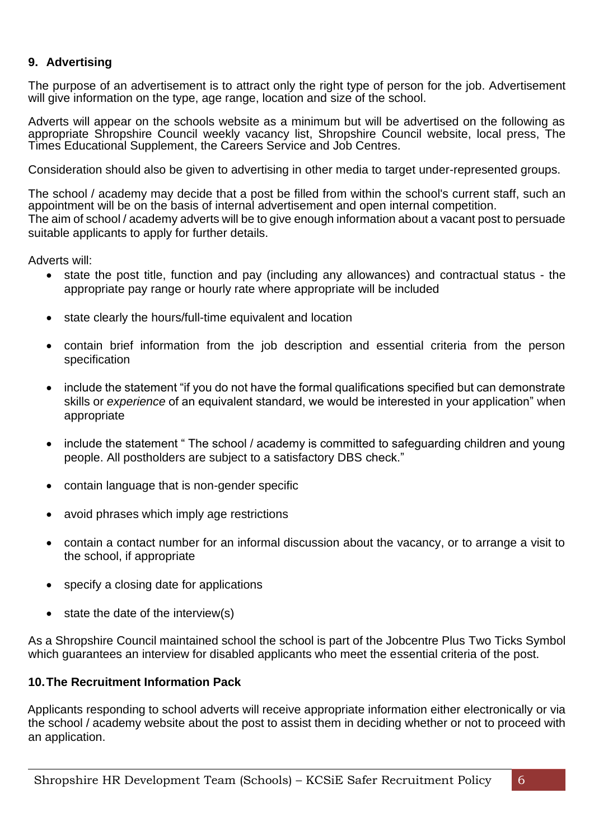# **9. Advertising**

The purpose of an advertisement is to attract only the right type of person for the job. Advertisement will give information on the type, age range, location and size of the school.

Adverts will appear on the schools website as a minimum but will be advertised on the following as appropriate Shropshire Council weekly vacancy list, Shropshire Council website, local press, The Times Educational Supplement, the Careers Service and Job Centres.

Consideration should also be given to advertising in other media to target under-represented groups.

The school / academy may decide that a post be filled from within the school's current staff, such an appointment will be on the basis of internal advertisement and open internal competition. The aim of school / academy adverts will be to give enough information about a vacant post to persuade suitable applicants to apply for further details.

Adverts will:

- state the post title, function and pay (including any allowances) and contractual status the appropriate pay range or hourly rate where appropriate will be included
- state clearly the hours/full-time equivalent and location
- contain brief information from the job description and essential criteria from the person specification
- include the statement "if you do not have the formal qualifications specified but can demonstrate skills or *experience* of an equivalent standard, we would be interested in your application" when appropriate
- include the statement " The school / academy is committed to safeguarding children and young people. All postholders are subject to a satisfactory DBS check."
- contain language that is non-gender specific
- avoid phrases which imply age restrictions
- contain a contact number for an informal discussion about the vacancy, or to arrange a visit to the school, if appropriate
- specify a closing date for applications
- state the date of the interview(s)

As a Shropshire Council maintained school the school is part of the Jobcentre Plus Two Ticks Symbol which guarantees an interview for disabled applicants who meet the essential criteria of the post.

# **10.The Recruitment Information Pack**

Applicants responding to school adverts will receive appropriate information either electronically or via the school / academy website about the post to assist them in deciding whether or not to proceed with an application.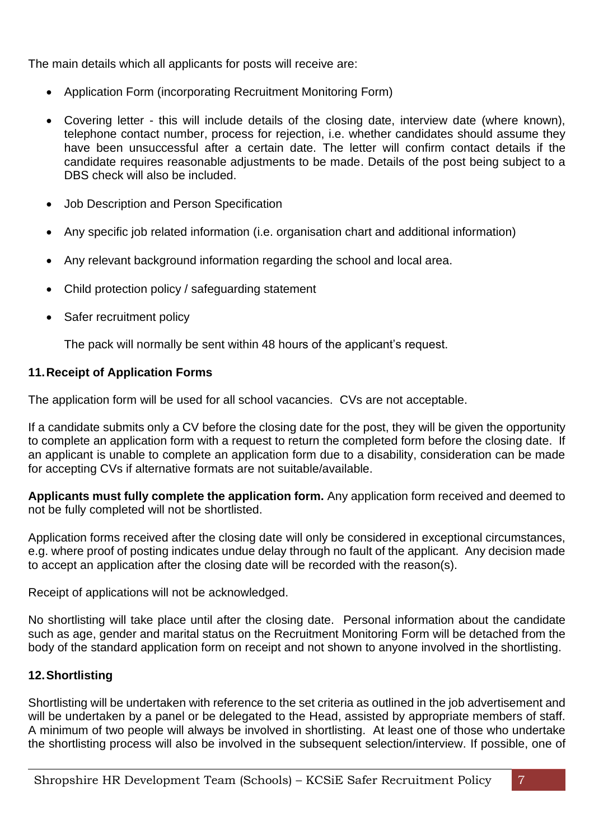The main details which all applicants for posts will receive are:

- Application Form (incorporating Recruitment Monitoring Form)
- Covering letter this will include details of the closing date, interview date (where known), telephone contact number, process for rejection, i.e. whether candidates should assume they have been unsuccessful after a certain date. The letter will confirm contact details if the candidate requires reasonable adjustments to be made. Details of the post being subject to a DBS check will also be included.
- Job Description and Person Specification
- Any specific job related information (i.e. organisation chart and additional information)
- Any relevant background information regarding the school and local area.
- Child protection policy / safeguarding statement
- Safer recruitment policy

The pack will normally be sent within 48 hours of the applicant's request.

# **11.Receipt of Application Forms**

The application form will be used for all school vacancies. CVs are not acceptable.

If a candidate submits only a CV before the closing date for the post, they will be given the opportunity to complete an application form with a request to return the completed form before the closing date. If an applicant is unable to complete an application form due to a disability, consideration can be made for accepting CVs if alternative formats are not suitable/available.

**Applicants must fully complete the application form.** Any application form received and deemed to not be fully completed will not be shortlisted.

Application forms received after the closing date will only be considered in exceptional circumstances, e.g. where proof of posting indicates undue delay through no fault of the applicant. Any decision made to accept an application after the closing date will be recorded with the reason(s).

Receipt of applications will not be acknowledged.

No shortlisting will take place until after the closing date. Personal information about the candidate such as age, gender and marital status on the Recruitment Monitoring Form will be detached from the body of the standard application form on receipt and not shown to anyone involved in the shortlisting.

# **12.Shortlisting**

Shortlisting will be undertaken with reference to the set criteria as outlined in the job advertisement and will be undertaken by a panel or be delegated to the Head, assisted by appropriate members of staff. A minimum of two people will always be involved in shortlisting. At least one of those who undertake the shortlisting process will also be involved in the subsequent selection/interview. If possible, one of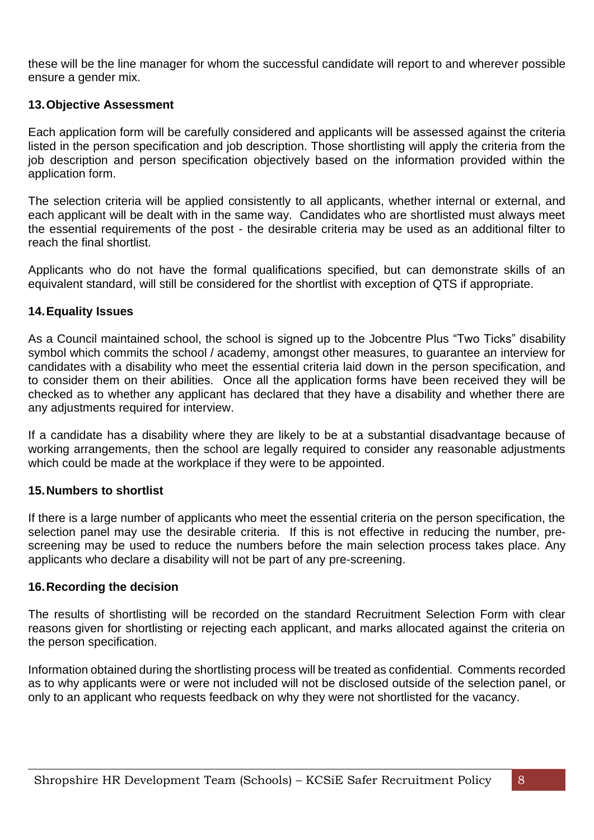these will be the line manager for whom the successful candidate will report to and wherever possible ensure a gender mix.

#### **13.Objective Assessment**

Each application form will be carefully considered and applicants will be assessed against the criteria listed in the person specification and job description. Those shortlisting will apply the criteria from the job description and person specification objectively based on the information provided within the application form.

The selection criteria will be applied consistently to all applicants, whether internal or external, and each applicant will be dealt with in the same way. Candidates who are shortlisted must always meet the essential requirements of the post - the desirable criteria may be used as an additional filter to reach the final shortlist.

Applicants who do not have the formal qualifications specified, but can demonstrate skills of an equivalent standard, will still be considered for the shortlist with exception of QTS if appropriate.

#### **14.Equality Issues**

As a Council maintained school, the school is signed up to the Jobcentre Plus "Two Ticks" disability symbol which commits the school / academy, amongst other measures, to guarantee an interview for candidates with a disability who meet the essential criteria laid down in the person specification, and to consider them on their abilities. Once all the application forms have been received they will be checked as to whether any applicant has declared that they have a disability and whether there are any adjustments required for interview.

If a candidate has a disability where they are likely to be at a substantial disadvantage because of working arrangements, then the school are legally required to consider any reasonable adjustments which could be made at the workplace if they were to be appointed.

#### **15.Numbers to shortlist**

If there is a large number of applicants who meet the essential criteria on the person specification, the selection panel may use the desirable criteria. If this is not effective in reducing the number, prescreening may be used to reduce the numbers before the main selection process takes place. Any applicants who declare a disability will not be part of any pre-screening.

#### **16.Recording the decision**

The results of shortlisting will be recorded on the standard Recruitment Selection Form with clear reasons given for shortlisting or rejecting each applicant, and marks allocated against the criteria on the person specification.

Information obtained during the shortlisting process will be treated as confidential. Comments recorded as to why applicants were or were not included will not be disclosed outside of the selection panel, or only to an applicant who requests feedback on why they were not shortlisted for the vacancy.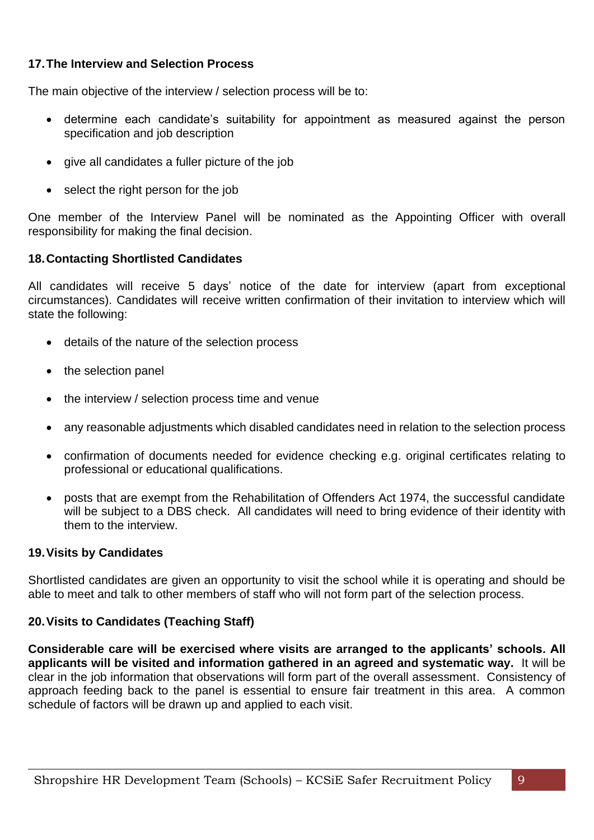# **17.The Interview and Selection Process**

The main objective of the interview / selection process will be to:

- determine each candidate's suitability for appointment as measured against the person specification and job description
- give all candidates a fuller picture of the job
- select the right person for the job

One member of the Interview Panel will be nominated as the Appointing Officer with overall responsibility for making the final decision.

# **18.Contacting Shortlisted Candidates**

All candidates will receive 5 days' notice of the date for interview (apart from exceptional circumstances). Candidates will receive written confirmation of their invitation to interview which will state the following:

- details of the nature of the selection process
- the selection panel
- the interview / selection process time and venue
- any reasonable adjustments which disabled candidates need in relation to the selection process
- confirmation of documents needed for evidence checking e.g. original certificates relating to professional or educational qualifications.
- posts that are exempt from the Rehabilitation of Offenders Act 1974, the successful candidate will be subject to a DBS check. All candidates will need to bring evidence of their identity with them to the interview.

#### **19.Visits by Candidates**

Shortlisted candidates are given an opportunity to visit the school while it is operating and should be able to meet and talk to other members of staff who will not form part of the selection process.

# **20.Visits to Candidates (Teaching Staff)**

**Considerable care will be exercised where visits are arranged to the applicants' schools. All applicants will be visited and information gathered in an agreed and systematic way.** It will be clear in the job information that observations will form part of the overall assessment. Consistency of approach feeding back to the panel is essential to ensure fair treatment in this area. A common schedule of factors will be drawn up and applied to each visit.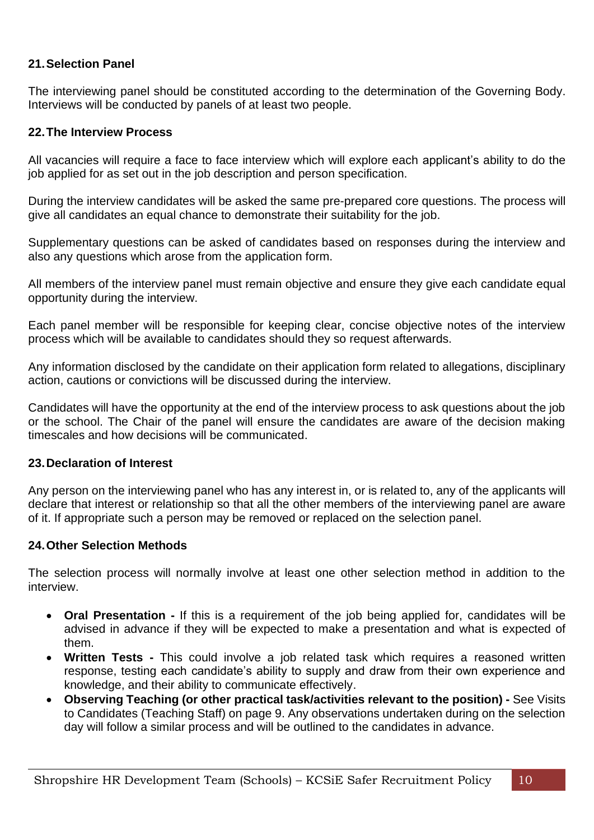### **21.Selection Panel**

The interviewing panel should be constituted according to the determination of the Governing Body. Interviews will be conducted by panels of at least two people.

#### **22.The Interview Process**

All vacancies will require a face to face interview which will explore each applicant's ability to do the job applied for as set out in the job description and person specification.

During the interview candidates will be asked the same pre-prepared core questions. The process will give all candidates an equal chance to demonstrate their suitability for the job.

Supplementary questions can be asked of candidates based on responses during the interview and also any questions which arose from the application form.

All members of the interview panel must remain objective and ensure they give each candidate equal opportunity during the interview.

Each panel member will be responsible for keeping clear, concise objective notes of the interview process which will be available to candidates should they so request afterwards.

Any information disclosed by the candidate on their application form related to allegations, disciplinary action, cautions or convictions will be discussed during the interview.

Candidates will have the opportunity at the end of the interview process to ask questions about the job or the school. The Chair of the panel will ensure the candidates are aware of the decision making timescales and how decisions will be communicated.

#### **23.Declaration of Interest**

Any person on the interviewing panel who has any interest in, or is related to, any of the applicants will declare that interest or relationship so that all the other members of the interviewing panel are aware of it. If appropriate such a person may be removed or replaced on the selection panel.

#### **24.Other Selection Methods**

The selection process will normally involve at least one other selection method in addition to the interview.

- **Oral Presentation -** If this is a requirement of the job being applied for, candidates will be advised in advance if they will be expected to make a presentation and what is expected of them.
- **Written Tests -** This could involve a job related task which requires a reasoned written response, testing each candidate's ability to supply and draw from their own experience and knowledge, and their ability to communicate effectively.
- **Observing Teaching (or other practical task/activities relevant to the position) -** See Visits to Candidates (Teaching Staff) on page 9. Any observations undertaken during on the selection day will follow a similar process and will be outlined to the candidates in advance.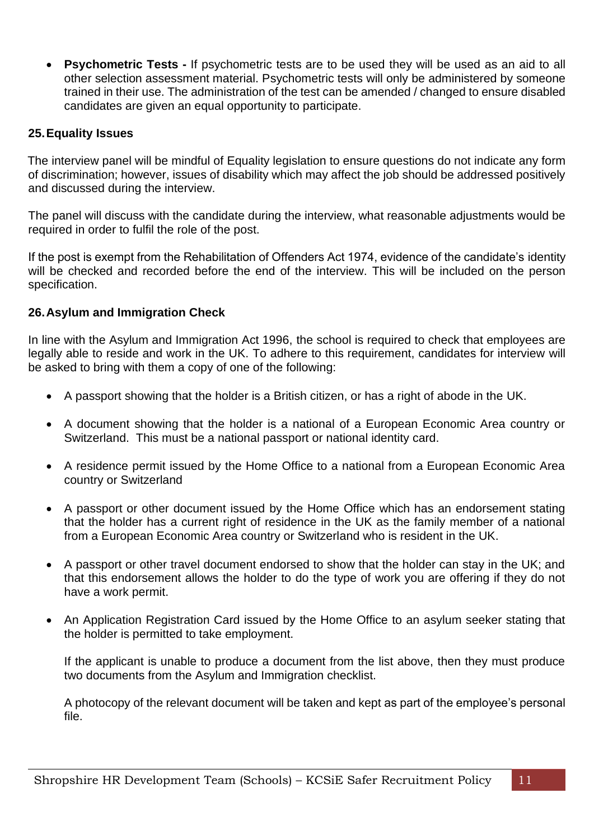• **Psychometric Tests -** If psychometric tests are to be used they will be used as an aid to all other selection assessment material. Psychometric tests will only be administered by someone trained in their use. The administration of the test can be amended / changed to ensure disabled candidates are given an equal opportunity to participate.

#### **25.Equality Issues**

The interview panel will be mindful of Equality legislation to ensure questions do not indicate any form of discrimination; however, issues of disability which may affect the job should be addressed positively and discussed during the interview.

The panel will discuss with the candidate during the interview, what reasonable adjustments would be required in order to fulfil the role of the post.

If the post is exempt from the Rehabilitation of Offenders Act 1974, evidence of the candidate's identity will be checked and recorded before the end of the interview. This will be included on the person specification.

#### **26.Asylum and Immigration Check**

In line with the Asylum and Immigration Act 1996, the school is required to check that employees are legally able to reside and work in the UK. To adhere to this requirement, candidates for interview will be asked to bring with them a copy of one of the following:

- A passport showing that the holder is a British citizen, or has a right of abode in the UK.
- A document showing that the holder is a national of a European Economic Area country or Switzerland. This must be a national passport or national identity card.
- A residence permit issued by the Home Office to a national from a European Economic Area country or Switzerland
- A passport or other document issued by the Home Office which has an endorsement stating that the holder has a current right of residence in the UK as the family member of a national from a European Economic Area country or Switzerland who is resident in the UK.
- A passport or other travel document endorsed to show that the holder can stay in the UK; and that this endorsement allows the holder to do the type of work you are offering if they do not have a work permit.
- An Application Registration Card issued by the Home Office to an asylum seeker stating that the holder is permitted to take employment.

If the applicant is unable to produce a document from the list above, then they must produce two documents from the Asylum and Immigration checklist.

A photocopy of the relevant document will be taken and kept as part of the employee's personal file.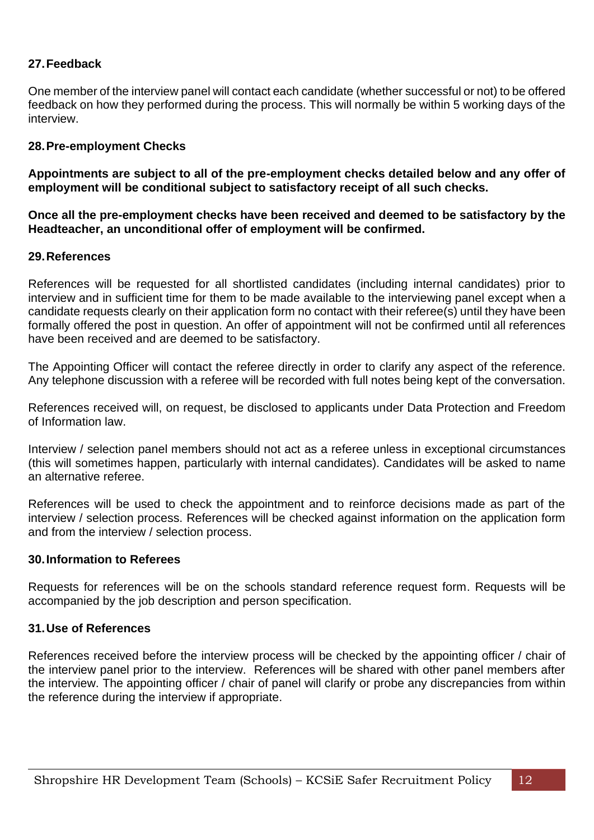# **27.Feedback**

One member of the interview panel will contact each candidate (whether successful or not) to be offered feedback on how they performed during the process. This will normally be within 5 working days of the interview.

#### **28.Pre-employment Checks**

**Appointments are subject to all of the pre-employment checks detailed below and any offer of employment will be conditional subject to satisfactory receipt of all such checks.**

**Once all the pre-employment checks have been received and deemed to be satisfactory by the Headteacher, an unconditional offer of employment will be confirmed.**

#### **29.References**

References will be requested for all shortlisted candidates (including internal candidates) prior to interview and in sufficient time for them to be made available to the interviewing panel except when a candidate requests clearly on their application form no contact with their referee(s) until they have been formally offered the post in question. An offer of appointment will not be confirmed until all references have been received and are deemed to be satisfactory.

The Appointing Officer will contact the referee directly in order to clarify any aspect of the reference. Any telephone discussion with a referee will be recorded with full notes being kept of the conversation.

References received will, on request, be disclosed to applicants under Data Protection and Freedom of Information law.

Interview / selection panel members should not act as a referee unless in exceptional circumstances (this will sometimes happen, particularly with internal candidates). Candidates will be asked to name an alternative referee.

References will be used to check the appointment and to reinforce decisions made as part of the interview / selection process. References will be checked against information on the application form and from the interview / selection process.

#### **30.Information to Referees**

Requests for references will be on the schools standard reference request form. Requests will be accompanied by the job description and person specification.

#### **31.Use of References**

References received before the interview process will be checked by the appointing officer / chair of the interview panel prior to the interview. References will be shared with other panel members after the interview. The appointing officer / chair of panel will clarify or probe any discrepancies from within the reference during the interview if appropriate.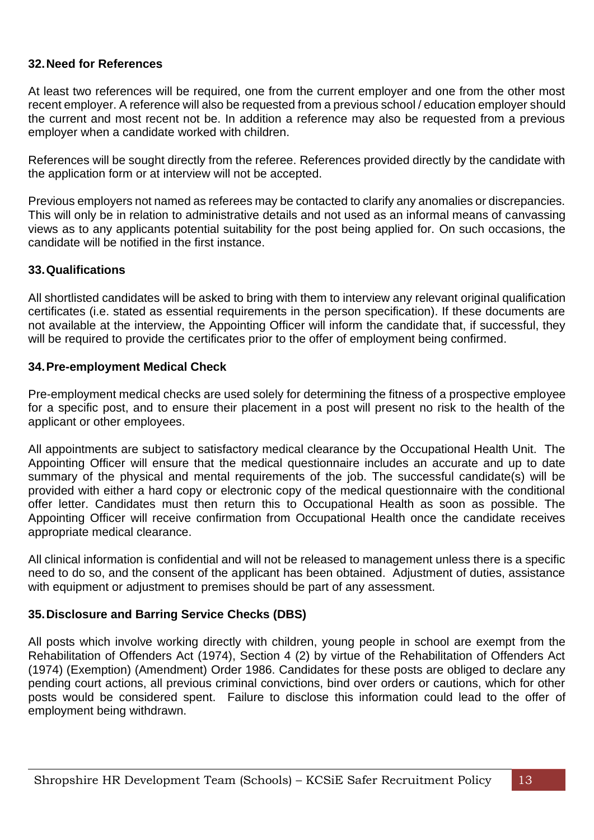### **32.Need for References**

At least two references will be required, one from the current employer and one from the other most recent employer. A reference will also be requested from a previous school / education employer should the current and most recent not be. In addition a reference may also be requested from a previous employer when a candidate worked with children.

References will be sought directly from the referee. References provided directly by the candidate with the application form or at interview will not be accepted.

Previous employers not named as referees may be contacted to clarify any anomalies or discrepancies. This will only be in relation to administrative details and not used as an informal means of canvassing views as to any applicants potential suitability for the post being applied for. On such occasions, the candidate will be notified in the first instance.

#### **33.Qualifications**

All shortlisted candidates will be asked to bring with them to interview any relevant original qualification certificates (i.e. stated as essential requirements in the person specification). If these documents are not available at the interview, the Appointing Officer will inform the candidate that, if successful, they will be required to provide the certificates prior to the offer of employment being confirmed.

#### **34.Pre-employment Medical Check**

Pre-employment medical checks are used solely for determining the fitness of a prospective employee for a specific post, and to ensure their placement in a post will present no risk to the health of the applicant or other employees.

All appointments are subject to satisfactory medical clearance by the Occupational Health Unit. The Appointing Officer will ensure that the medical questionnaire includes an accurate and up to date summary of the physical and mental requirements of the job. The successful candidate(s) will be provided with either a hard copy or electronic copy of the medical questionnaire with the conditional offer letter. Candidates must then return this to Occupational Health as soon as possible. The Appointing Officer will receive confirmation from Occupational Health once the candidate receives appropriate medical clearance.

All clinical information is confidential and will not be released to management unless there is a specific need to do so, and the consent of the applicant has been obtained. Adjustment of duties, assistance with equipment or adjustment to premises should be part of any assessment.

# **35.Disclosure and Barring Service Checks (DBS)**

All posts which involve working directly with children, young people in school are exempt from the Rehabilitation of Offenders Act (1974), Section 4 (2) by virtue of the Rehabilitation of Offenders Act (1974) (Exemption) (Amendment) Order 1986. Candidates for these posts are obliged to declare any pending court actions, all previous criminal convictions, bind over orders or cautions, which for other posts would be considered spent. Failure to disclose this information could lead to the offer of employment being withdrawn.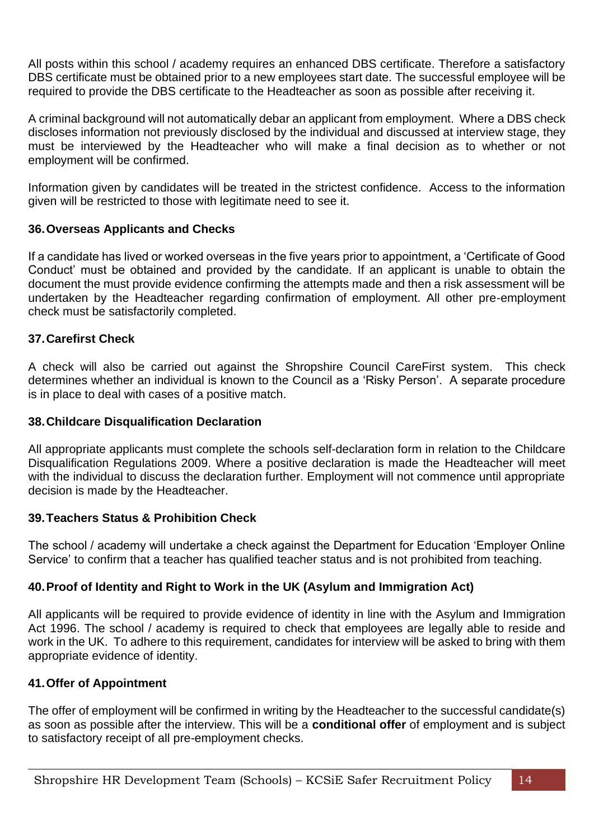All posts within this school / academy requires an enhanced DBS certificate. Therefore a satisfactory DBS certificate must be obtained prior to a new employees start date. The successful employee will be required to provide the DBS certificate to the Headteacher as soon as possible after receiving it.

A criminal background will not automatically debar an applicant from employment. Where a DBS check discloses information not previously disclosed by the individual and discussed at interview stage, they must be interviewed by the Headteacher who will make a final decision as to whether or not employment will be confirmed.

Information given by candidates will be treated in the strictest confidence. Access to the information given will be restricted to those with legitimate need to see it.

# **36.Overseas Applicants and Checks**

If a candidate has lived or worked overseas in the five years prior to appointment, a 'Certificate of Good Conduct' must be obtained and provided by the candidate. If an applicant is unable to obtain the document the must provide evidence confirming the attempts made and then a risk assessment will be undertaken by the Headteacher regarding confirmation of employment. All other pre-employment check must be satisfactorily completed.

#### **37.Carefirst Check**

A check will also be carried out against the Shropshire Council CareFirst system. This check determines whether an individual is known to the Council as a 'Risky Person'. A separate procedure is in place to deal with cases of a positive match.

#### **38.Childcare Disqualification Declaration**

All appropriate applicants must complete the schools self-declaration form in relation to the Childcare Disqualification Regulations 2009. Where a positive declaration is made the Headteacher will meet with the individual to discuss the declaration further. Employment will not commence until appropriate decision is made by the Headteacher.

#### **39.Teachers Status & Prohibition Check**

The school / academy will undertake a check against the Department for Education 'Employer Online Service' to confirm that a teacher has qualified teacher status and is not prohibited from teaching.

#### **40.Proof of Identity and Right to Work in the UK (Asylum and Immigration Act)**

All applicants will be required to provide evidence of identity in line with the Asylum and Immigration Act 1996. The school / academy is required to check that employees are legally able to reside and work in the UK. To adhere to this requirement, candidates for interview will be asked to bring with them appropriate evidence of identity.

#### **41.Offer of Appointment**

The offer of employment will be confirmed in writing by the Headteacher to the successful candidate(s) as soon as possible after the interview. This will be a **conditional offer** of employment and is subject to satisfactory receipt of all pre-employment checks.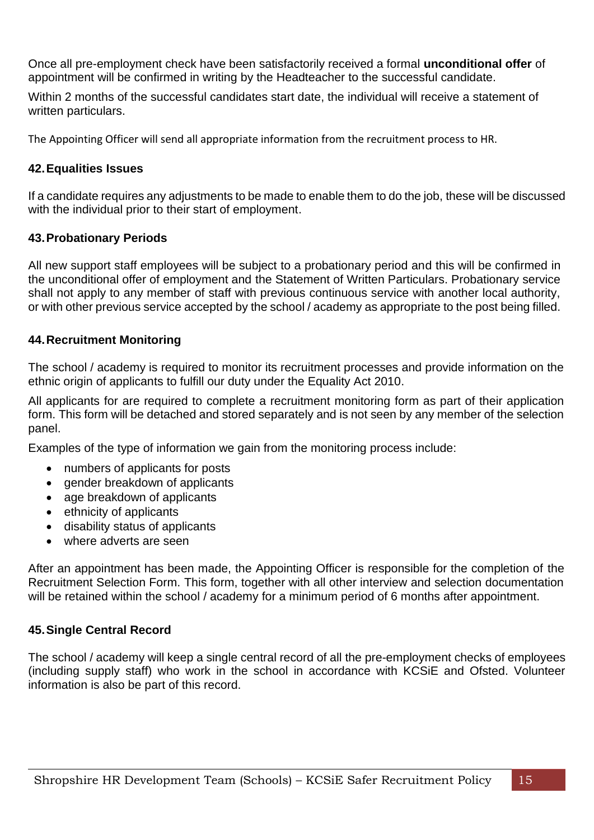Once all pre-employment check have been satisfactorily received a formal **unconditional offer** of appointment will be confirmed in writing by the Headteacher to the successful candidate.

Within 2 months of the successful candidates start date, the individual will receive a statement of written particulars.

The Appointing Officer will send all appropriate information from the recruitment process to HR.

# **42.Equalities Issues**

If a candidate requires any adjustments to be made to enable them to do the job, these will be discussed with the individual prior to their start of employment.

# **43.Probationary Periods**

All new support staff employees will be subject to a probationary period and this will be confirmed in the unconditional offer of employment and the Statement of Written Particulars. Probationary service shall not apply to any member of staff with previous continuous service with another local authority, or with other previous service accepted by the school / academy as appropriate to the post being filled.

#### **44.Recruitment Monitoring**

The school / academy is required to monitor its recruitment processes and provide information on the ethnic origin of applicants to fulfill our duty under the Equality Act 2010.

All applicants for are required to complete a recruitment monitoring form as part of their application form. This form will be detached and stored separately and is not seen by any member of the selection panel.

Examples of the type of information we gain from the monitoring process include:

- numbers of applicants for posts
- gender breakdown of applicants
- age breakdown of applicants
- ethnicity of applicants
- disability status of applicants
- where adverts are seen

After an appointment has been made, the Appointing Officer is responsible for the completion of the Recruitment Selection Form. This form, together with all other interview and selection documentation will be retained within the school / academy for a minimum period of 6 months after appointment.

# **45.Single Central Record**

The school / academy will keep a single central record of all the pre-employment checks of employees (including supply staff) who work in the school in accordance with KCSiE and Ofsted. Volunteer information is also be part of this record.